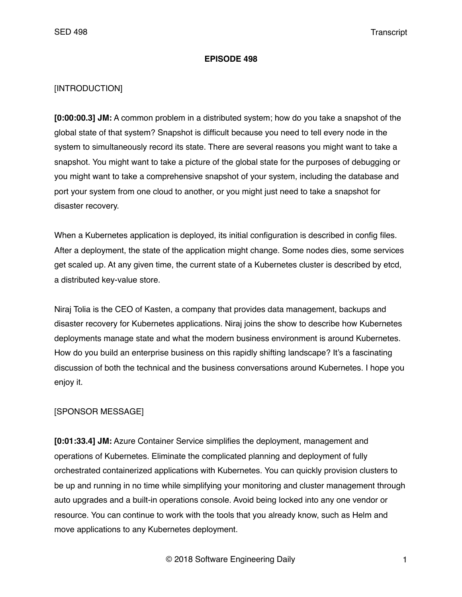### **EPISODE 498**

## [INTRODUCTION]

**[0:00:00.3] JM:** A common problem in a distributed system; how do you take a snapshot of the global state of that system? Snapshot is difficult because you need to tell every node in the system to simultaneously record its state. There are several reasons you might want to take a snapshot. You might want to take a picture of the global state for the purposes of debugging or you might want to take a comprehensive snapshot of your system, including the database and port your system from one cloud to another, or you might just need to take a snapshot for disaster recovery.

When a Kubernetes application is deployed, its initial configuration is described in config files. After a deployment, the state of the application might change. Some nodes dies, some services get scaled up. At any given time, the current state of a Kubernetes cluster is described by etcd, a distributed key-value store.

Niraj Tolia is the CEO of Kasten, a company that provides data management, backups and disaster recovery for Kubernetes applications. Niraj joins the show to describe how Kubernetes deployments manage state and what the modern business environment is around Kubernetes. How do you build an enterprise business on this rapidly shifting landscape? It's a fascinating discussion of both the technical and the business conversations around Kubernetes. I hope you enjoy it.

## [SPONSOR MESSAGE]

**[0:01:33.4] JM:** Azure Container Service simplifies the deployment, management and operations of Kubernetes. Eliminate the complicated planning and deployment of fully orchestrated containerized applications with Kubernetes. You can quickly provision clusters to be up and running in no time while simplifying your monitoring and cluster management through auto upgrades and a built-in operations console. Avoid being locked into any one vendor or resource. You can continue to work with the tools that you already know, such as Helm and move applications to any Kubernetes deployment.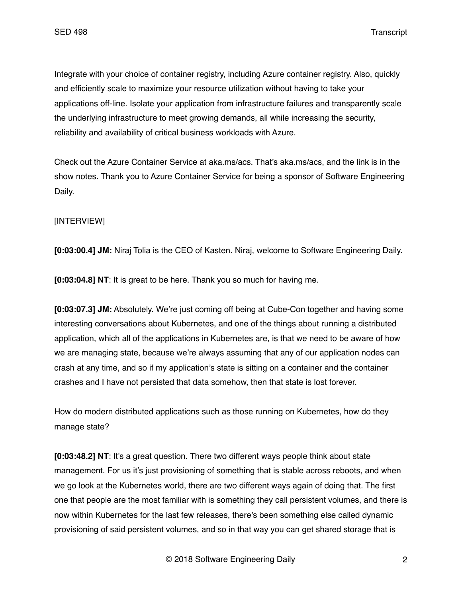Integrate with your choice of container registry, including Azure container registry. Also, quickly and efficiently scale to maximize your resource utilization without having to take your applications off-line. Isolate your application from infrastructure failures and transparently scale the underlying infrastructure to meet growing demands, all while increasing the security, reliability and availability of critical business workloads with Azure.

Check out the Azure Container Service at aka.ms/acs. That's aka.ms/acs, and the link is in the show notes. Thank you to Azure Container Service for being a sponsor of Software Engineering Daily.

# [INTERVIEW]

**[0:03:00.4] JM:** Niraj Tolia is the CEO of Kasten. Niraj, welcome to Software Engineering Daily.

**[0:03:04.8] NT**: It is great to be here. Thank you so much for having me.

**[0:03:07.3] JM:** Absolutely. We're just coming off being at Cube-Con together and having some interesting conversations about Kubernetes, and one of the things about running a distributed application, which all of the applications in Kubernetes are, is that we need to be aware of how we are managing state, because we're always assuming that any of our application nodes can crash at any time, and so if my application's state is sitting on a container and the container crashes and I have not persisted that data somehow, then that state is lost forever.

How do modern distributed applications such as those running on Kubernetes, how do they manage state?

**[0:03:48.2] NT**: It's a great question. There two different ways people think about state management. For us it's just provisioning of something that is stable across reboots, and when we go look at the Kubernetes world, there are two different ways again of doing that. The first one that people are the most familiar with is something they call persistent volumes, and there is now within Kubernetes for the last few releases, there's been something else called dynamic provisioning of said persistent volumes, and so in that way you can get shared storage that is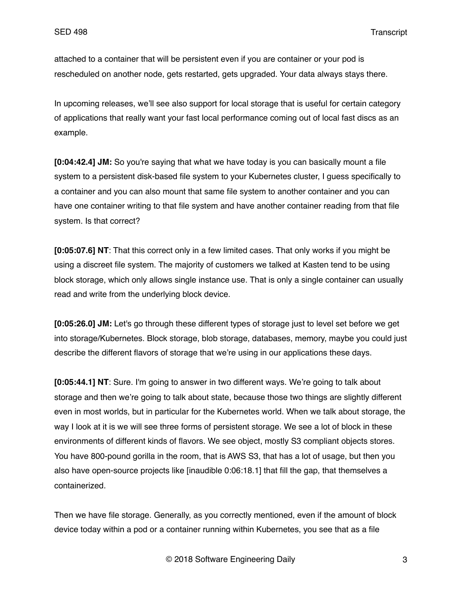attached to a container that will be persistent even if you are container or your pod is rescheduled on another node, gets restarted, gets upgraded. Your data always stays there.

In upcoming releases, we'll see also support for local storage that is useful for certain category of applications that really want your fast local performance coming out of local fast discs as an example.

**[0:04:42.4] JM:** So you're saying that what we have today is you can basically mount a file system to a persistent disk-based file system to your Kubernetes cluster, I guess specifically to a container and you can also mount that same file system to another container and you can have one container writing to that file system and have another container reading from that file system. Is that correct?

**[0:05:07.6] NT**: That this correct only in a few limited cases. That only works if you might be using a discreet file system. The majority of customers we talked at Kasten tend to be using block storage, which only allows single instance use. That is only a single container can usually read and write from the underlying block device.

**[0:05:26.0] JM:** Let's go through these different types of storage just to level set before we get into storage/Kubernetes. Block storage, blob storage, databases, memory, maybe you could just describe the different flavors of storage that we're using in our applications these days.

**[0:05:44.1] NT**: Sure. I'm going to answer in two different ways. We're going to talk about storage and then we're going to talk about state, because those two things are slightly different even in most worlds, but in particular for the Kubernetes world. When we talk about storage, the way I look at it is we will see three forms of persistent storage. We see a lot of block in these environments of different kinds of flavors. We see object, mostly S3 compliant objects stores. You have 800-pound gorilla in the room, that is AWS S3, that has a lot of usage, but then you also have open-source projects like [inaudible 0:06:18.1] that fill the gap, that themselves a containerized.

Then we have file storage. Generally, as you correctly mentioned, even if the amount of block device today within a pod or a container running within Kubernetes, you see that as a file

© 2018 Software Engineering Daily 3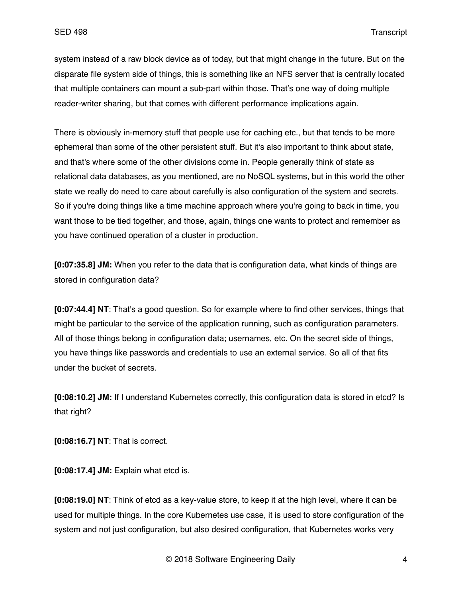system instead of a raw block device as of today, but that might change in the future. But on the disparate file system side of things, this is something like an NFS server that is centrally located that multiple containers can mount a sub-part within those. That's one way of doing multiple reader-writer sharing, but that comes with different performance implications again.

There is obviously in-memory stuff that people use for caching etc., but that tends to be more ephemeral than some of the other persistent stuff. But it's also important to think about state, and that's where some of the other divisions come in. People generally think of state as relational data databases, as you mentioned, are no NoSQL systems, but in this world the other state we really do need to care about carefully is also configuration of the system and secrets. So if you're doing things like a time machine approach where you're going to back in time, you want those to be tied together, and those, again, things one wants to protect and remember as you have continued operation of a cluster in production.

**[0:07:35.8] JM:** When you refer to the data that is configuration data, what kinds of things are stored in configuration data?

**[0:07:44.4] NT**: That's a good question. So for example where to find other services, things that might be particular to the service of the application running, such as configuration parameters. All of those things belong in configuration data; usernames, etc. On the secret side of things, you have things like passwords and credentials to use an external service. So all of that fits under the bucket of secrets.

**[0:08:10.2] JM:** If I understand Kubernetes correctly, this configuration data is stored in etcd? Is that right?

**[0:08:16.7] NT**: That is correct.

**[0:08:17.4] JM:** Explain what etcd is.

**[0:08:19.0] NT**: Think of etcd as a key-value store, to keep it at the high level, where it can be used for multiple things. In the core Kubernetes use case, it is used to store configuration of the system and not just configuration, but also desired configuration, that Kubernetes works very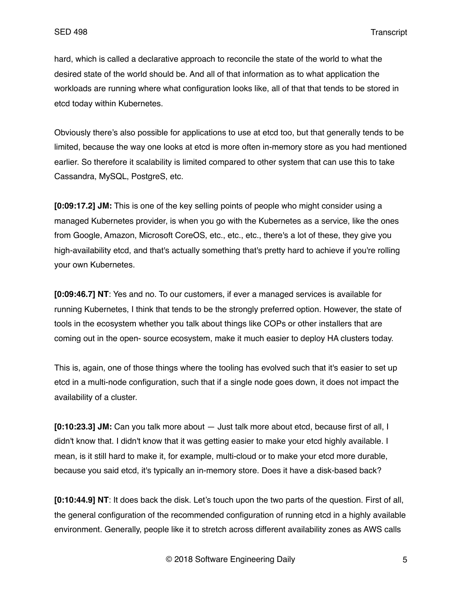hard, which is called a declarative approach to reconcile the state of the world to what the desired state of the world should be. And all of that information as to what application the workloads are running where what configuration looks like, all of that that tends to be stored in etcd today within Kubernetes.

Obviously there's also possible for applications to use at etcd too, but that generally tends to be limited, because the way one looks at etcd is more often in-memory store as you had mentioned earlier. So therefore it scalability is limited compared to other system that can use this to take Cassandra, MySQL, PostgreS, etc.

**[0:09:17.2] JM:** This is one of the key selling points of people who might consider using a managed Kubernetes provider, is when you go with the Kubernetes as a service, like the ones from Google, Amazon, Microsoft CoreOS, etc., etc., etc., there's a lot of these, they give you high-availability etcd, and that's actually something that's pretty hard to achieve if you're rolling your own Kubernetes.

**[0:09:46.7] NT**: Yes and no. To our customers, if ever a managed services is available for running Kubernetes, I think that tends to be the strongly preferred option. However, the state of tools in the ecosystem whether you talk about things like COPs or other installers that are coming out in the open- source ecosystem, make it much easier to deploy HA clusters today.

This is, again, one of those things where the tooling has evolved such that it's easier to set up etcd in a multi-node configuration, such that if a single node goes down, it does not impact the availability of a cluster.

**[0:10:23.3] JM:** Can you talk more about — Just talk more about etcd, because first of all, I didn't know that. I didn't know that it was getting easier to make your etcd highly available. I mean, is it still hard to make it, for example, multi-cloud or to make your etcd more durable, because you said etcd, it's typically an in-memory store. Does it have a disk-based back?

**[0:10:44.9] NT**: It does back the disk. Let's touch upon the two parts of the question. First of all, the general configuration of the recommended configuration of running etcd in a highly available environment. Generally, people like it to stretch across different availability zones as AWS calls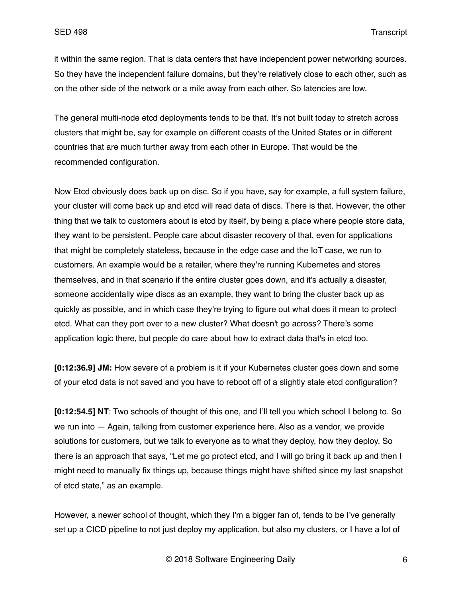it within the same region. That is data centers that have independent power networking sources. So they have the independent failure domains, but they're relatively close to each other, such as on the other side of the network or a mile away from each other. So latencies are low.

The general multi-node etcd deployments tends to be that. It's not built today to stretch across clusters that might be, say for example on different coasts of the United States or in different countries that are much further away from each other in Europe. That would be the recommended configuration.

Now Etcd obviously does back up on disc. So if you have, say for example, a full system failure, your cluster will come back up and etcd will read data of discs. There is that. However, the other thing that we talk to customers about is etcd by itself, by being a place where people store data, they want to be persistent. People care about disaster recovery of that, even for applications that might be completely stateless, because in the edge case and the IoT case, we run to customers. An example would be a retailer, where they're running Kubernetes and stores themselves, and in that scenario if the entire cluster goes down, and it's actually a disaster, someone accidentally wipe discs as an example, they want to bring the cluster back up as quickly as possible, and in which case they're trying to figure out what does it mean to protect etcd. What can they port over to a new cluster? What doesn't go across? There's some application logic there, but people do care about how to extract data that's in etcd too.

**[0:12:36.9] JM:** How severe of a problem is it if your Kubernetes cluster goes down and some of your etcd data is not saved and you have to reboot off of a slightly stale etcd configuration?

**[0:12:54.5] NT**: Two schools of thought of this one, and I'll tell you which school I belong to. So we run into — Again, talking from customer experience here. Also as a vendor, we provide solutions for customers, but we talk to everyone as to what they deploy, how they deploy. So there is an approach that says, "Let me go protect etcd, and I will go bring it back up and then I might need to manually fix things up, because things might have shifted since my last snapshot of etcd state," as an example.

However, a newer school of thought, which they I'm a bigger fan of, tends to be I've generally set up a CICD pipeline to not just deploy my application, but also my clusters, or I have a lot of

© 2018 Software Engineering Daily 6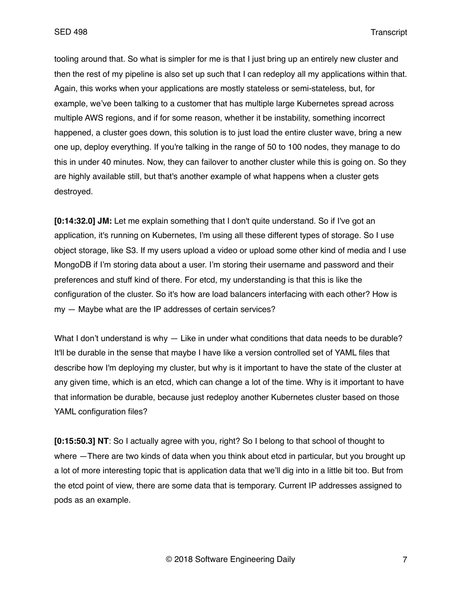tooling around that. So what is simpler for me is that I just bring up an entirely new cluster and then the rest of my pipeline is also set up such that I can redeploy all my applications within that. Again, this works when your applications are mostly stateless or semi-stateless, but, for example, we've been talking to a customer that has multiple large Kubernetes spread across multiple AWS regions, and if for some reason, whether it be instability, something incorrect happened, a cluster goes down, this solution is to just load the entire cluster wave, bring a new one up, deploy everything. If you're talking in the range of 50 to 100 nodes, they manage to do this in under 40 minutes. Now, they can failover to another cluster while this is going on. So they are highly available still, but that's another example of what happens when a cluster gets destroyed.

**[0:14:32.0] JM:** Let me explain something that I don't quite understand. So if I've got an application, it's running on Kubernetes, I'm using all these different types of storage. So I use object storage, like S3. If my users upload a video or upload some other kind of media and I use MongoDB if I'm storing data about a user. I'm storing their username and password and their preferences and stuff kind of there. For etcd, my understanding is that this is like the configuration of the cluster. So it's how are load balancers interfacing with each other? How is my — Maybe what are the IP addresses of certain services?

What I don't understand is why — Like in under what conditions that data needs to be durable? It'll be durable in the sense that maybe I have like a version controlled set of YAML files that describe how I'm deploying my cluster, but why is it important to have the state of the cluster at any given time, which is an etcd, which can change a lot of the time. Why is it important to have that information be durable, because just redeploy another Kubernetes cluster based on those YAML configuration files?

**[0:15:50.3] NT**: So I actually agree with you, right? So I belong to that school of thought to where — There are two kinds of data when you think about etcd in particular, but you brought up a lot of more interesting topic that is application data that we'll dig into in a little bit too. But from the etcd point of view, there are some data that is temporary. Current IP addresses assigned to pods as an example.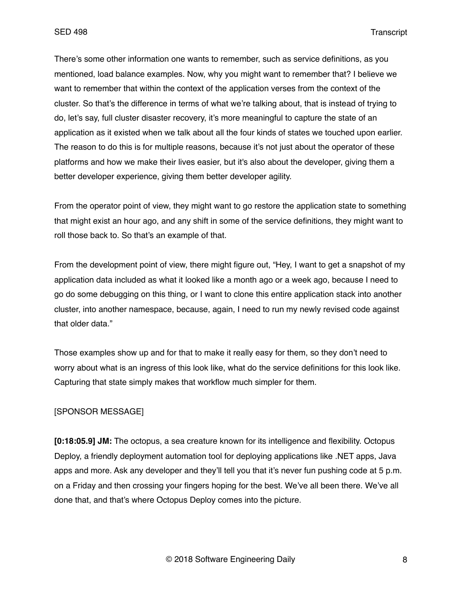There's some other information one wants to remember, such as service definitions, as you mentioned, load balance examples. Now, why you might want to remember that? I believe we want to remember that within the context of the application verses from the context of the cluster. So that's the difference in terms of what we're talking about, that is instead of trying to do, let's say, full cluster disaster recovery, it's more meaningful to capture the state of an application as it existed when we talk about all the four kinds of states we touched upon earlier. The reason to do this is for multiple reasons, because it's not just about the operator of these platforms and how we make their lives easier, but it's also about the developer, giving them a better developer experience, giving them better developer agility.

From the operator point of view, they might want to go restore the application state to something that might exist an hour ago, and any shift in some of the service definitions, they might want to roll those back to. So that's an example of that.

From the development point of view, there might figure out, "Hey, I want to get a snapshot of my application data included as what it looked like a month ago or a week ago, because I need to go do some debugging on this thing, or I want to clone this entire application stack into another cluster, into another namespace, because, again, I need to run my newly revised code against that older data."

Those examples show up and for that to make it really easy for them, so they don't need to worry about what is an ingress of this look like, what do the service definitions for this look like. Capturing that state simply makes that workflow much simpler for them.

#### [SPONSOR MESSAGE]

**[0:18:05.9] JM:** The octopus, a sea creature known for its intelligence and flexibility. Octopus Deploy, a friendly deployment automation tool for deploying applications like .NET apps, Java apps and more. Ask any developer and they'll tell you that it's never fun pushing code at 5 p.m. on a Friday and then crossing your fingers hoping for the best. We've all been there. We've all done that, and that's where Octopus Deploy comes into the picture.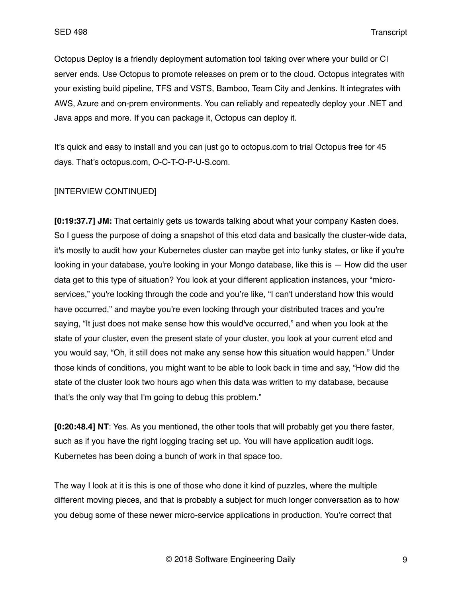Octopus Deploy is a friendly deployment automation tool taking over where your build or CI server ends. Use Octopus to promote releases on prem or to the cloud. Octopus integrates with your existing build pipeline, TFS and VSTS, Bamboo, Team City and Jenkins. It integrates with AWS, Azure and on-prem environments. You can reliably and repeatedly deploy your .NET and Java apps and more. If you can package it, Octopus can deploy it.

It's quick and easy to install and you can just go to octopus.com to trial Octopus free for 45 days. That's octopus.com, O-C-T-O-P-U-S.com.

## [INTERVIEW CONTINUED]

**[0:19:37.7] JM:** That certainly gets us towards talking about what your company Kasten does. So I guess the purpose of doing a snapshot of this etcd data and basically the cluster-wide data, it's mostly to audit how your Kubernetes cluster can maybe get into funky states, or like if you're looking in your database, you're looking in your Mongo database, like this is — How did the user data get to this type of situation? You look at your different application instances, your "microservices," you're looking through the code and you're like, "I can't understand how this would have occurred," and maybe you're even looking through your distributed traces and you're saying, "It just does not make sense how this would've occurred," and when you look at the state of your cluster, even the present state of your cluster, you look at your current etcd and you would say, "Oh, it still does not make any sense how this situation would happen." Under those kinds of conditions, you might want to be able to look back in time and say, "How did the state of the cluster look two hours ago when this data was written to my database, because that's the only way that I'm going to debug this problem."

**[0:20:48.4] NT**: Yes. As you mentioned, the other tools that will probably get you there faster, such as if you have the right logging tracing set up. You will have application audit logs. Kubernetes has been doing a bunch of work in that space too.

The way I look at it is this is one of those who done it kind of puzzles, where the multiple different moving pieces, and that is probably a subject for much longer conversation as to how you debug some of these newer micro-service applications in production. You're correct that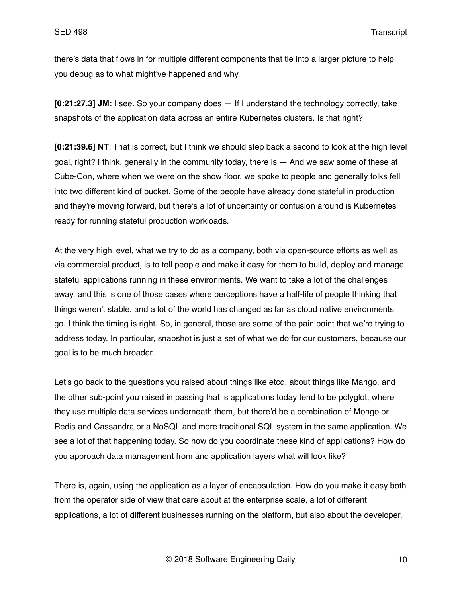there's data that flows in for multiple different components that tie into a larger picture to help you debug as to what might've happened and why.

**[0:21:27.3] JM:** I see. So your company does — If I understand the technology correctly, take snapshots of the application data across an entire Kubernetes clusters. Is that right?

**[0:21:39.6] NT**: That is correct, but I think we should step back a second to look at the high level goal, right? I think, generally in the community today, there is — And we saw some of these at Cube-Con, where when we were on the show floor, we spoke to people and generally folks fell into two different kind of bucket. Some of the people have already done stateful in production and they're moving forward, but there's a lot of uncertainty or confusion around is Kubernetes ready for running stateful production workloads.

At the very high level, what we try to do as a company, both via open-source efforts as well as via commercial product, is to tell people and make it easy for them to build, deploy and manage stateful applications running in these environments. We want to take a lot of the challenges away, and this is one of those cases where perceptions have a half-life of people thinking that things weren't stable, and a lot of the world has changed as far as cloud native environments go. I think the timing is right. So, in general, those are some of the pain point that we're trying to address today. In particular, snapshot is just a set of what we do for our customers, because our goal is to be much broader.

Let's go back to the questions you raised about things like etcd, about things like Mango, and the other sub-point you raised in passing that is applications today tend to be polyglot, where they use multiple data services underneath them, but there'd be a combination of Mongo or Redis and Cassandra or a NoSQL and more traditional SQL system in the same application. We see a lot of that happening today. So how do you coordinate these kind of applications? How do you approach data management from and application layers what will look like?

There is, again, using the application as a layer of encapsulation. How do you make it easy both from the operator side of view that care about at the enterprise scale, a lot of different applications, a lot of different businesses running on the platform, but also about the developer,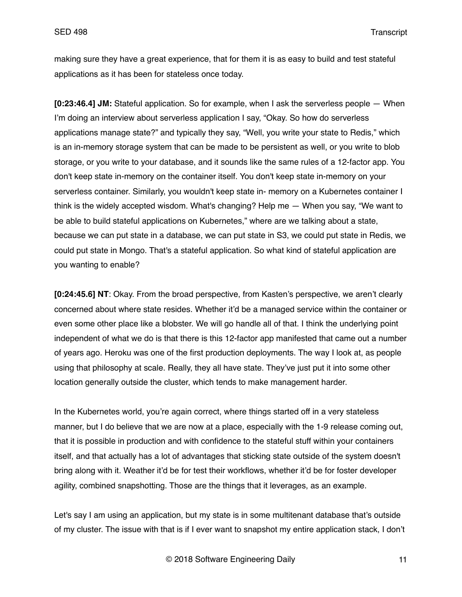making sure they have a great experience, that for them it is as easy to build and test stateful applications as it has been for stateless once today.

**[0:23:46.4] JM:** Stateful application. So for example, when I ask the serverless people — When I'm doing an interview about serverless application I say, "Okay. So how do serverless applications manage state?" and typically they say, "Well, you write your state to Redis," which is an in-memory storage system that can be made to be persistent as well, or you write to blob storage, or you write to your database, and it sounds like the same rules of a 12-factor app. You don't keep state in-memory on the container itself. You don't keep state in-memory on your serverless container. Similarly, you wouldn't keep state in- memory on a Kubernetes container I think is the widely accepted wisdom. What's changing? Help me — When you say, "We want to be able to build stateful applications on Kubernetes," where are we talking about a state, because we can put state in a database, we can put state in S3, we could put state in Redis, we could put state in Mongo. That's a stateful application. So what kind of stateful application are you wanting to enable?

**[0:24:45.6] NT**: Okay. From the broad perspective, from Kasten's perspective, we aren't clearly concerned about where state resides. Whether it'd be a managed service within the container or even some other place like a blobster. We will go handle all of that. I think the underlying point independent of what we do is that there is this 12-factor app manifested that came out a number of years ago. Heroku was one of the first production deployments. The way I look at, as people using that philosophy at scale. Really, they all have state. They've just put it into some other location generally outside the cluster, which tends to make management harder.

In the Kubernetes world, you're again correct, where things started off in a very stateless manner, but I do believe that we are now at a place, especially with the 1-9 release coming out, that it is possible in production and with confidence to the stateful stuff within your containers itself, and that actually has a lot of advantages that sticking state outside of the system doesn't bring along with it. Weather it'd be for test their workflows, whether it'd be for foster developer agility, combined snapshotting. Those are the things that it leverages, as an example.

Let's say I am using an application, but my state is in some multitenant database that's outside of my cluster. The issue with that is if I ever want to snapshot my entire application stack, I don't

© 2018 Software Engineering Daily 11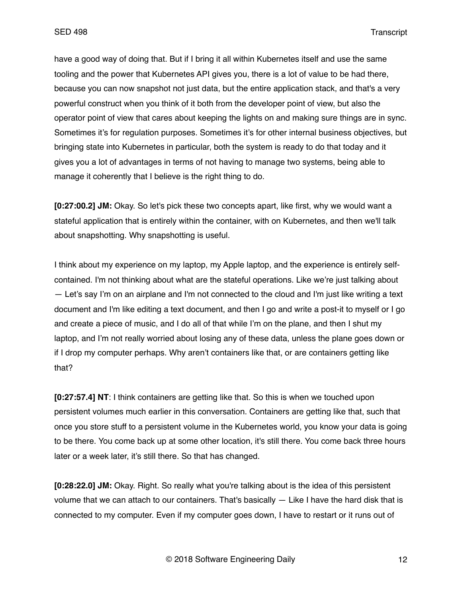have a good way of doing that. But if I bring it all within Kubernetes itself and use the same tooling and the power that Kubernetes API gives you, there is a lot of value to be had there, because you can now snapshot not just data, but the entire application stack, and that's a very powerful construct when you think of it both from the developer point of view, but also the operator point of view that cares about keeping the lights on and making sure things are in sync. Sometimes it's for regulation purposes. Sometimes it's for other internal business objectives, but bringing state into Kubernetes in particular, both the system is ready to do that today and it gives you a lot of advantages in terms of not having to manage two systems, being able to manage it coherently that I believe is the right thing to do.

**[0:27:00.2] JM:** Okay. So let's pick these two concepts apart, like first, why we would want a stateful application that is entirely within the container, with on Kubernetes, and then we'll talk about snapshotting. Why snapshotting is useful.

I think about my experience on my laptop, my Apple laptop, and the experience is entirely selfcontained. I'm not thinking about what are the stateful operations. Like we're just talking about — Let's say I'm on an airplane and I'm not connected to the cloud and I'm just like writing a text document and I'm like editing a text document, and then I go and write a post-it to myself or I go and create a piece of music, and I do all of that while I'm on the plane, and then I shut my laptop, and I'm not really worried about losing any of these data, unless the plane goes down or if I drop my computer perhaps. Why aren't containers like that, or are containers getting like that?

**[0:27:57.4] NT**: I think containers are getting like that. So this is when we touched upon persistent volumes much earlier in this conversation. Containers are getting like that, such that once you store stuff to a persistent volume in the Kubernetes world, you know your data is going to be there. You come back up at some other location, it's still there. You come back three hours later or a week later, it's still there. So that has changed.

**[0:28:22.0] JM:** Okay. Right. So really what you're talking about is the idea of this persistent volume that we can attach to our containers. That's basically — Like I have the hard disk that is connected to my computer. Even if my computer goes down, I have to restart or it runs out of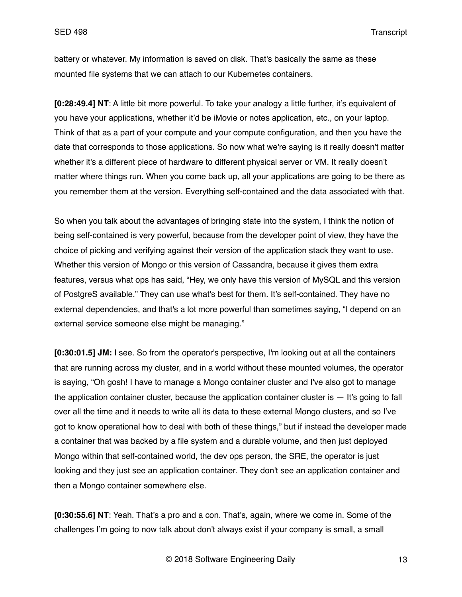battery or whatever. My information is saved on disk. That's basically the same as these mounted file systems that we can attach to our Kubernetes containers.

**[0:28:49.4] NT**: A little bit more powerful. To take your analogy a little further, it's equivalent of you have your applications, whether it'd be iMovie or notes application, etc., on your laptop. Think of that as a part of your compute and your compute configuration, and then you have the date that corresponds to those applications. So now what we're saying is it really doesn't matter whether it's a different piece of hardware to different physical server or VM. It really doesn't matter where things run. When you come back up, all your applications are going to be there as you remember them at the version. Everything self-contained and the data associated with that.

So when you talk about the advantages of bringing state into the system, I think the notion of being self-contained is very powerful, because from the developer point of view, they have the choice of picking and verifying against their version of the application stack they want to use. Whether this version of Mongo or this version of Cassandra, because it gives them extra features, versus what ops has said, "Hey, we only have this version of MySQL and this version of PostgreS available." They can use what's best for them. It's self-contained. They have no external dependencies, and that's a lot more powerful than sometimes saying, "I depend on an external service someone else might be managing."

**[0:30:01.5] JM:** I see. So from the operator's perspective, I'm looking out at all the containers that are running across my cluster, and in a world without these mounted volumes, the operator is saying, "Oh gosh! I have to manage a Mongo container cluster and I've also got to manage the application container cluster, because the application container cluster is  $-$  It's going to fall over all the time and it needs to write all its data to these external Mongo clusters, and so I've got to know operational how to deal with both of these things," but if instead the developer made a container that was backed by a file system and a durable volume, and then just deployed Mongo within that self-contained world, the dev ops person, the SRE, the operator is just looking and they just see an application container. They don't see an application container and then a Mongo container somewhere else.

**[0:30:55.6] NT**: Yeah. That's a pro and a con. That's, again, where we come in. Some of the challenges I'm going to now talk about don't always exist if your company is small, a small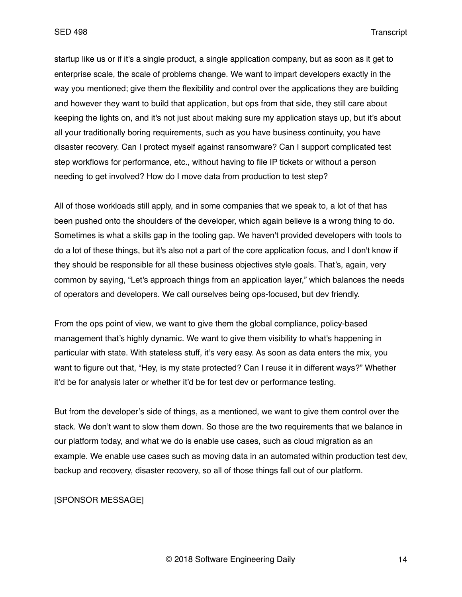startup like us or if it's a single product, a single application company, but as soon as it get to enterprise scale, the scale of problems change. We want to impart developers exactly in the way you mentioned; give them the flexibility and control over the applications they are building and however they want to build that application, but ops from that side, they still care about keeping the lights on, and it's not just about making sure my application stays up, but it's about all your traditionally boring requirements, such as you have business continuity, you have disaster recovery. Can I protect myself against ransomware? Can I support complicated test step workflows for performance, etc., without having to file IP tickets or without a person needing to get involved? How do I move data from production to test step?

All of those workloads still apply, and in some companies that we speak to, a lot of that has been pushed onto the shoulders of the developer, which again believe is a wrong thing to do. Sometimes is what a skills gap in the tooling gap. We haven't provided developers with tools to do a lot of these things, but it's also not a part of the core application focus, and I don't know if they should be responsible for all these business objectives style goals. That's, again, very common by saying, "Let's approach things from an application layer," which balances the needs of operators and developers. We call ourselves being ops-focused, but dev friendly.

From the ops point of view, we want to give them the global compliance, policy-based management that's highly dynamic. We want to give them visibility to what's happening in particular with state. With stateless stuff, it's very easy. As soon as data enters the mix, you want to figure out that, "Hey, is my state protected? Can I reuse it in different ways?" Whether it'd be for analysis later or whether it'd be for test dev or performance testing.

But from the developer's side of things, as a mentioned, we want to give them control over the stack. We don't want to slow them down. So those are the two requirements that we balance in our platform today, and what we do is enable use cases, such as cloud migration as an example. We enable use cases such as moving data in an automated within production test dev, backup and recovery, disaster recovery, so all of those things fall out of our platform.

## [SPONSOR MESSAGE]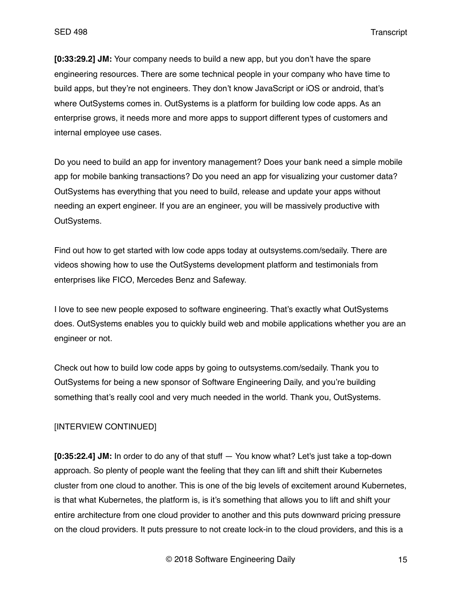**[0:33:29.2] JM:** Your company needs to build a new app, but you don't have the spare engineering resources. There are some technical people in your company who have time to build apps, but they're not engineers. They don't know JavaScript or iOS or android, that's where OutSystems comes in. OutSystems is a platform for building low code apps. As an enterprise grows, it needs more and more apps to support different types of customers and internal employee use cases.

Do you need to build an app for inventory management? Does your bank need a simple mobile app for mobile banking transactions? Do you need an app for visualizing your customer data? OutSystems has everything that you need to build, release and update your apps without needing an expert engineer. If you are an engineer, you will be massively productive with OutSystems.

Find out how to get started with low code apps today at outsystems.com/sedaily. There are videos showing how to use the OutSystems development platform and testimonials from enterprises like FICO, Mercedes Benz and Safeway.

I love to see new people exposed to software engineering. That's exactly what OutSystems does. OutSystems enables you to quickly build web and mobile applications whether you are an engineer or not.

Check out how to build low code apps by going to outsystems.com/sedaily. Thank you to OutSystems for being a new sponsor of Software Engineering Daily, and you're building something that's really cool and very much needed in the world. Thank you, OutSystems.

# [INTERVIEW CONTINUED]

**[0:35:22.4] JM:** In order to do any of that stuff — You know what? Let's just take a top-down approach. So plenty of people want the feeling that they can lift and shift their Kubernetes cluster from one cloud to another. This is one of the big levels of excitement around Kubernetes, is that what Kubernetes, the platform is, is it's something that allows you to lift and shift your entire architecture from one cloud provider to another and this puts downward pricing pressure on the cloud providers. It puts pressure to not create lock-in to the cloud providers, and this is a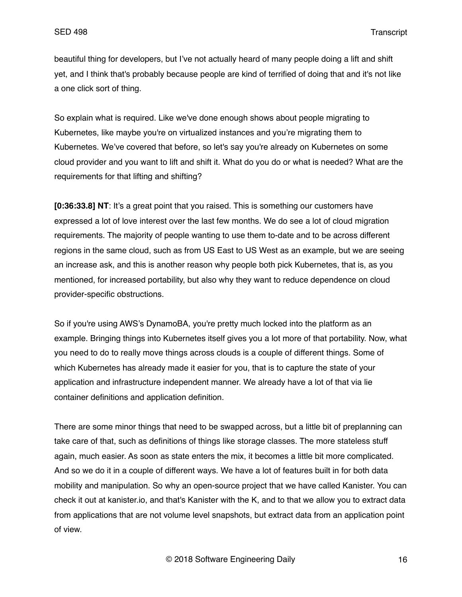beautiful thing for developers, but I've not actually heard of many people doing a lift and shift yet, and I think that's probably because people are kind of terrified of doing that and it's not like a one click sort of thing.

So explain what is required. Like we've done enough shows about people migrating to Kubernetes, like maybe you're on virtualized instances and you're migrating them to Kubernetes. We've covered that before, so let's say you're already on Kubernetes on some cloud provider and you want to lift and shift it. What do you do or what is needed? What are the requirements for that lifting and shifting?

**[0:36:33.8] NT**: It's a great point that you raised. This is something our customers have expressed a lot of love interest over the last few months. We do see a lot of cloud migration requirements. The majority of people wanting to use them to-date and to be across different regions in the same cloud, such as from US East to US West as an example, but we are seeing an increase ask, and this is another reason why people both pick Kubernetes, that is, as you mentioned, for increased portability, but also why they want to reduce dependence on cloud provider-specific obstructions.

So if you're using AWS's DynamoBA, you're pretty much locked into the platform as an example. Bringing things into Kubernetes itself gives you a lot more of that portability. Now, what you need to do to really move things across clouds is a couple of different things. Some of which Kubernetes has already made it easier for you, that is to capture the state of your application and infrastructure independent manner. We already have a lot of that via lie container definitions and application definition.

There are some minor things that need to be swapped across, but a little bit of preplanning can take care of that, such as definitions of things like storage classes. The more stateless stuff again, much easier. As soon as state enters the mix, it becomes a little bit more complicated. And so we do it in a couple of different ways. We have a lot of features built in for both data mobility and manipulation. So why an open-source project that we have called Kanister. You can check it out at kanister.io, and that's Kanister with the K, and to that we allow you to extract data from applications that are not volume level snapshots, but extract data from an application point of view.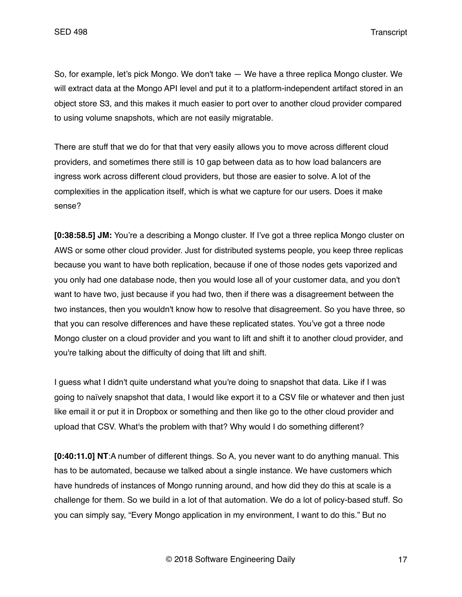So, for example, let's pick Mongo. We don't take — We have a three replica Mongo cluster. We will extract data at the Mongo API level and put it to a platform-independent artifact stored in an object store S3, and this makes it much easier to port over to another cloud provider compared to using volume snapshots, which are not easily migratable.

There are stuff that we do for that that very easily allows you to move across different cloud providers, and sometimes there still is 10 gap between data as to how load balancers are ingress work across different cloud providers, but those are easier to solve. A lot of the complexities in the application itself, which is what we capture for our users. Does it make sense?

**[0:38:58.5] JM:** You're a describing a Mongo cluster. If I've got a three replica Mongo cluster on AWS or some other cloud provider. Just for distributed systems people, you keep three replicas because you want to have both replication, because if one of those nodes gets vaporized and you only had one database node, then you would lose all of your customer data, and you don't want to have two, just because if you had two, then if there was a disagreement between the two instances, then you wouldn't know how to resolve that disagreement. So you have three, so that you can resolve differences and have these replicated states. You've got a three node Mongo cluster on a cloud provider and you want to lift and shift it to another cloud provider, and you're talking about the difficulty of doing that lift and shift.

I guess what I didn't quite understand what you're doing to snapshot that data. Like if I was going to naïvely snapshot that data, I would like export it to a CSV file or whatever and then just like email it or put it in Dropbox or something and then like go to the other cloud provider and upload that CSV. What's the problem with that? Why would I do something different?

**[0:40:11.0] NT**:A number of different things. So A, you never want to do anything manual. This has to be automated, because we talked about a single instance. We have customers which have hundreds of instances of Mongo running around, and how did they do this at scale is a challenge for them. So we build in a lot of that automation. We do a lot of policy-based stuff. So you can simply say, "Every Mongo application in my environment, I want to do this." But no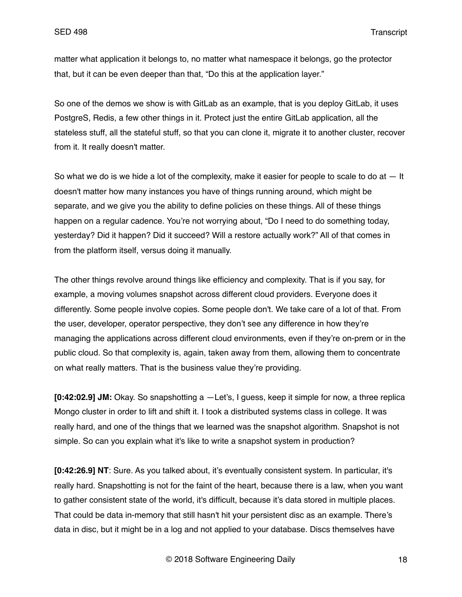matter what application it belongs to, no matter what namespace it belongs, go the protector that, but it can be even deeper than that, "Do this at the application layer."

So one of the demos we show is with GitLab as an example, that is you deploy GitLab, it uses PostgreS, Redis, a few other things in it. Protect just the entire GitLab application, all the stateless stuff, all the stateful stuff, so that you can clone it, migrate it to another cluster, recover from it. It really doesn't matter.

So what we do is we hide a lot of the complexity, make it easier for people to scale to do at  $-$  It doesn't matter how many instances you have of things running around, which might be separate, and we give you the ability to define policies on these things. All of these things happen on a regular cadence. You're not worrying about, "Do I need to do something today, yesterday? Did it happen? Did it succeed? Will a restore actually work?" All of that comes in from the platform itself, versus doing it manually.

The other things revolve around things like efficiency and complexity. That is if you say, for example, a moving volumes snapshot across different cloud providers. Everyone does it differently. Some people involve copies. Some people don't. We take care of a lot of that. From the user, developer, operator perspective, they don't see any difference in how they're managing the applications across different cloud environments, even if they're on-prem or in the public cloud. So that complexity is, again, taken away from them, allowing them to concentrate on what really matters. That is the business value they're providing.

**[0:42:02.9] JM:** Okay. So snapshotting a —Let's, I guess, keep it simple for now, a three replica Mongo cluster in order to lift and shift it. I took a distributed systems class in college. It was really hard, and one of the things that we learned was the snapshot algorithm. Snapshot is not simple. So can you explain what it's like to write a snapshot system in production?

**[0:42:26.9] NT**: Sure. As you talked about, it's eventually consistent system. In particular, it's really hard. Snapshotting is not for the faint of the heart, because there is a law, when you want to gather consistent state of the world, it's difficult, because it's data stored in multiple places. That could be data in-memory that still hasn't hit your persistent disc as an example. There's data in disc, but it might be in a log and not applied to your database. Discs themselves have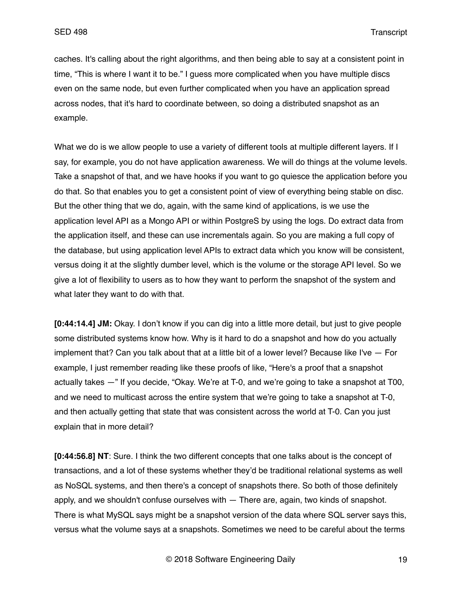caches. It's calling about the right algorithms, and then being able to say at a consistent point in time, "This is where I want it to be." I guess more complicated when you have multiple discs even on the same node, but even further complicated when you have an application spread across nodes, that it's hard to coordinate between, so doing a distributed snapshot as an example.

What we do is we allow people to use a variety of different tools at multiple different layers. If I say, for example, you do not have application awareness. We will do things at the volume levels. Take a snapshot of that, and we have hooks if you want to go quiesce the application before you do that. So that enables you to get a consistent point of view of everything being stable on disc. But the other thing that we do, again, with the same kind of applications, is we use the application level API as a Mongo API or within PostgreS by using the logs. Do extract data from the application itself, and these can use incrementals again. So you are making a full copy of the database, but using application level APIs to extract data which you know will be consistent, versus doing it at the slightly dumber level, which is the volume or the storage API level. So we give a lot of flexibility to users as to how they want to perform the snapshot of the system and what later they want to do with that.

**[0:44:14.4] JM:** Okay. I don't know if you can dig into a little more detail, but just to give people some distributed systems know how. Why is it hard to do a snapshot and how do you actually implement that? Can you talk about that at a little bit of a lower level? Because like I've — For example, I just remember reading like these proofs of like, "Here's a proof that a snapshot actually takes —" If you decide, "Okay. We're at T-0, and we're going to take a snapshot at T00, and we need to multicast across the entire system that we're going to take a snapshot at T-0, and then actually getting that state that was consistent across the world at T-0. Can you just explain that in more detail?

**[0:44:56.8] NT**: Sure. I think the two different concepts that one talks about is the concept of transactions, and a lot of these systems whether they'd be traditional relational systems as well as NoSQL systems, and then there's a concept of snapshots there. So both of those definitely apply, and we shouldn't confuse ourselves with — There are, again, two kinds of snapshot. There is what MySQL says might be a snapshot version of the data where SQL server says this, versus what the volume says at a snapshots. Sometimes we need to be careful about the terms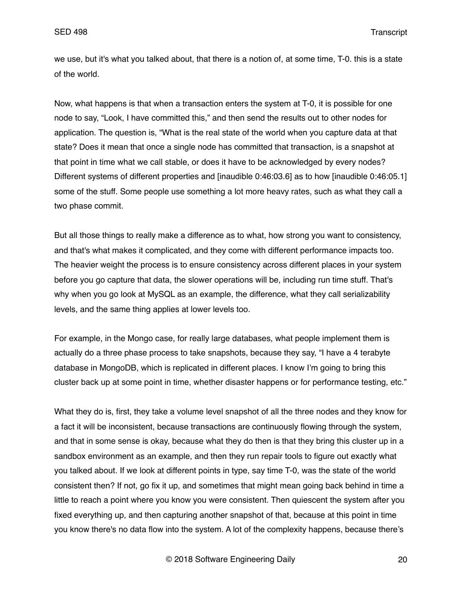we use, but it's what you talked about, that there is a notion of, at some time, T-0. this is a state of the world.

Now, what happens is that when a transaction enters the system at T-0, it is possible for one node to say, "Look, I have committed this," and then send the results out to other nodes for application. The question is, "What is the real state of the world when you capture data at that state? Does it mean that once a single node has committed that transaction, is a snapshot at that point in time what we call stable, or does it have to be acknowledged by every nodes? Different systems of different properties and [inaudible 0:46:03.6] as to how [inaudible 0:46:05.1] some of the stuff. Some people use something a lot more heavy rates, such as what they call a two phase commit.

But all those things to really make a difference as to what, how strong you want to consistency, and that's what makes it complicated, and they come with different performance impacts too. The heavier weight the process is to ensure consistency across different places in your system before you go capture that data, the slower operations will be, including run time stuff. That's why when you go look at MySQL as an example, the difference, what they call serializability levels, and the same thing applies at lower levels too.

For example, in the Mongo case, for really large databases, what people implement them is actually do a three phase process to take snapshots, because they say, "I have a 4 terabyte database in MongoDB, which is replicated in different places. I know I'm going to bring this cluster back up at some point in time, whether disaster happens or for performance testing, etc."

What they do is, first, they take a volume level snapshot of all the three nodes and they know for a fact it will be inconsistent, because transactions are continuously flowing through the system, and that in some sense is okay, because what they do then is that they bring this cluster up in a sandbox environment as an example, and then they run repair tools to figure out exactly what you talked about. If we look at different points in type, say time T-0, was the state of the world consistent then? If not, go fix it up, and sometimes that might mean going back behind in time a little to reach a point where you know you were consistent. Then quiescent the system after you fixed everything up, and then capturing another snapshot of that, because at this point in time you know there's no data flow into the system. A lot of the complexity happens, because there's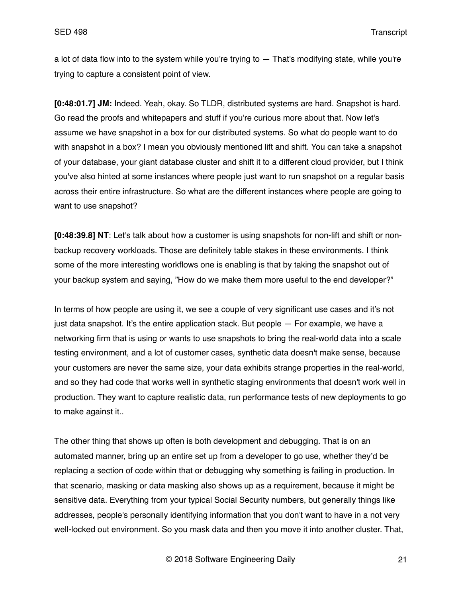a lot of data flow into to the system while you're trying to  $-$  That's modifying state, while you're trying to capture a consistent point of view.

**[0:48:01.7] JM:** Indeed. Yeah, okay. So TLDR, distributed systems are hard. Snapshot is hard. Go read the proofs and whitepapers and stuff if you're curious more about that. Now let's assume we have snapshot in a box for our distributed systems. So what do people want to do with snapshot in a box? I mean you obviously mentioned lift and shift. You can take a snapshot of your database, your giant database cluster and shift it to a different cloud provider, but I think you've also hinted at some instances where people just want to run snapshot on a regular basis across their entire infrastructure. So what are the different instances where people are going to want to use snapshot?

**[0:48:39.8] NT**: Let's talk about how a customer is using snapshots for non-lift and shift or nonbackup recovery workloads. Those are definitely table stakes in these environments. I think some of the more interesting workflows one is enabling is that by taking the snapshot out of your backup system and saying, "How do we make them more useful to the end developer?"

In terms of how people are using it, we see a couple of very significant use cases and it's not just data snapshot. It's the entire application stack. But people - For example, we have a networking firm that is using or wants to use snapshots to bring the real-world data into a scale testing environment, and a lot of customer cases, synthetic data doesn't make sense, because your customers are never the same size, your data exhibits strange properties in the real-world, and so they had code that works well in synthetic staging environments that doesn't work well in production. They want to capture realistic data, run performance tests of new deployments to go to make against it..

The other thing that shows up often is both development and debugging. That is on an automated manner, bring up an entire set up from a developer to go use, whether they'd be replacing a section of code within that or debugging why something is failing in production. In that scenario, masking or data masking also shows up as a requirement, because it might be sensitive data. Everything from your typical Social Security numbers, but generally things like addresses, people's personally identifying information that you don't want to have in a not very well-locked out environment. So you mask data and then you move it into another cluster. That,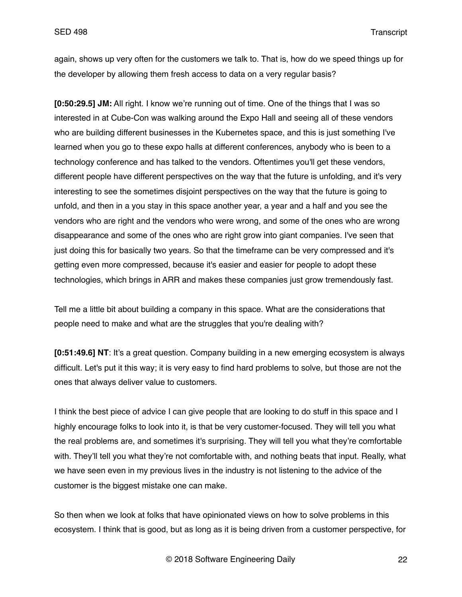again, shows up very often for the customers we talk to. That is, how do we speed things up for the developer by allowing them fresh access to data on a very regular basis?

**[0:50:29.5] JM:** All right. I know we're running out of time. One of the things that I was so interested in at Cube-Con was walking around the Expo Hall and seeing all of these vendors who are building different businesses in the Kubernetes space, and this is just something I've learned when you go to these expo halls at different conferences, anybody who is been to a technology conference and has talked to the vendors. Oftentimes you'll get these vendors, different people have different perspectives on the way that the future is unfolding, and it's very interesting to see the sometimes disjoint perspectives on the way that the future is going to unfold, and then in a you stay in this space another year, a year and a half and you see the vendors who are right and the vendors who were wrong, and some of the ones who are wrong disappearance and some of the ones who are right grow into giant companies. I've seen that just doing this for basically two years. So that the timeframe can be very compressed and it's getting even more compressed, because it's easier and easier for people to adopt these technologies, which brings in ARR and makes these companies just grow tremendously fast.

Tell me a little bit about building a company in this space. What are the considerations that people need to make and what are the struggles that you're dealing with?

**[0:51:49.6] NT**: It's a great question. Company building in a new emerging ecosystem is always difficult. Let's put it this way; it is very easy to find hard problems to solve, but those are not the ones that always deliver value to customers.

I think the best piece of advice I can give people that are looking to do stuff in this space and I highly encourage folks to look into it, is that be very customer-focused. They will tell you what the real problems are, and sometimes it's surprising. They will tell you what they're comfortable with. They'll tell you what they're not comfortable with, and nothing beats that input. Really, what we have seen even in my previous lives in the industry is not listening to the advice of the customer is the biggest mistake one can make.

So then when we look at folks that have opinionated views on how to solve problems in this ecosystem. I think that is good, but as long as it is being driven from a customer perspective, for

© 2018 Software Engineering Daily 22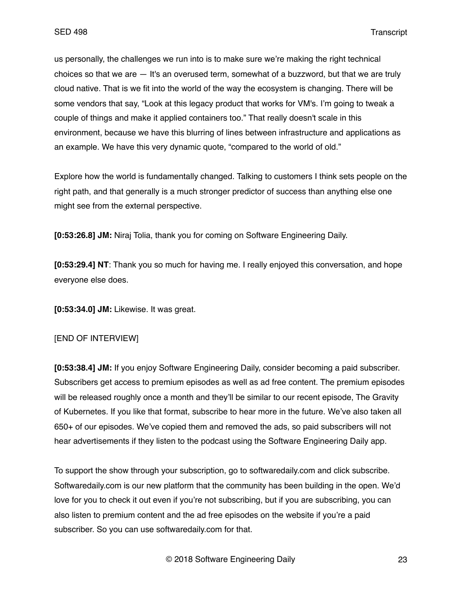us personally, the challenges we run into is to make sure we're making the right technical choices so that we are — It's an overused term, somewhat of a buzzword, but that we are truly cloud native. That is we fit into the world of the way the ecosystem is changing. There will be some vendors that say, "Look at this legacy product that works for VM's. I'm going to tweak a couple of things and make it applied containers too." That really doesn't scale in this environment, because we have this blurring of lines between infrastructure and applications as an example. We have this very dynamic quote, "compared to the world of old."

Explore how the world is fundamentally changed. Talking to customers I think sets people on the right path, and that generally is a much stronger predictor of success than anything else one might see from the external perspective.

**[0:53:26.8] JM:** Niraj Tolia, thank you for coming on Software Engineering Daily.

**[0:53:29.4] NT**: Thank you so much for having me. I really enjoyed this conversation, and hope everyone else does.

**[0:53:34.0] JM:** Likewise. It was great.

### [END OF INTERVIEW]

**[0:53:38.4] JM:** If you enjoy Software Engineering Daily, consider becoming a paid subscriber. Subscribers get access to premium episodes as well as ad free content. The premium episodes will be released roughly once a month and they'll be similar to our recent episode, The Gravity of Kubernetes. If you like that format, subscribe to hear more in the future. We've also taken all 650+ of our episodes. We've copied them and removed the ads, so paid subscribers will not hear advertisements if they listen to the podcast using the Software Engineering Daily app.

To support the show through your subscription, go to softwaredaily.com and click subscribe. Softwaredaily.com is our new platform that the community has been building in the open. We'd love for you to check it out even if you're not subscribing, but if you are subscribing, you can also listen to premium content and the ad free episodes on the website if you're a paid subscriber. So you can use softwaredaily.com for that.